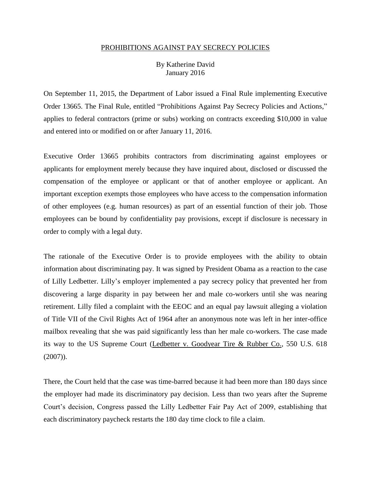## PROHIBITIONS AGAINST PAY SECRECY POLICIES

## By Katherine David January 2016

On September 11, 2015, the Department of Labor issued a Final Rule implementing Executive Order 13665. The Final Rule, entitled "Prohibitions Against Pay Secrecy Policies and Actions," applies to federal contractors (prime or subs) working on contracts exceeding \$10,000 in value and entered into or modified on or after January 11, 2016.

Executive Order 13665 prohibits contractors from discriminating against employees or applicants for employment merely because they have inquired about, disclosed or discussed the compensation of the employee or applicant or that of another employee or applicant. An important exception exempts those employees who have access to the compensation information of other employees (e.g. human resources) as part of an essential function of their job. Those employees can be bound by confidentiality pay provisions, except if disclosure is necessary in order to comply with a legal duty.

The rationale of the Executive Order is to provide employees with the ability to obtain information about discriminating pay. It was signed by President Obama as a reaction to the case of Lilly Ledbetter. Lilly's employer implemented a pay secrecy policy that prevented her from discovering a large disparity in pay between her and male co-workers until she was nearing retirement. Lilly filed a complaint with the EEOC and an equal pay lawsuit alleging a violation of Title VII of the Civil Rights Act of 1964 after an anonymous note was left in her inter-office mailbox revealing that she was paid significantly less than her male co-workers. The case made its way to the US Supreme Court (Ledbetter v. Goodyear Tire & Rubber Co., 550 U.S. 618 (2007)).

There, the Court held that the case was time-barred because it had been more than 180 days since the employer had made its discriminatory pay decision. Less than two years after the Supreme Court's decision, Congress passed the Lilly Ledbetter Fair Pay Act of 2009, establishing that each discriminatory paycheck restarts the 180 day time clock to file a claim.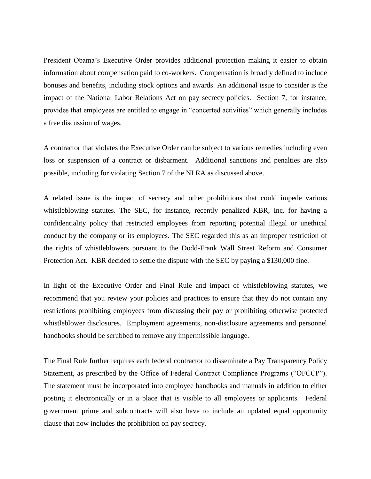President Obama's Executive Order provides additional protection making it easier to obtain information about compensation paid to co-workers. Compensation is broadly defined to include bonuses and benefits, including stock options and awards. An additional issue to consider is the impact of the National Labor Relations Act on pay secrecy policies. Section 7, for instance, provides that employees are entitled to engage in "concerted activities" which generally includes a free discussion of wages.

A contractor that violates the Executive Order can be subject to various remedies including even loss or suspension of a contract or disbarment. Additional sanctions and penalties are also possible, including for violating Section 7 of the NLRA as discussed above.

A related issue is the impact of secrecy and other prohibitions that could impede various whistleblowing statutes. The SEC, for instance, recently penalized KBR, Inc. for having a confidentiality policy that restricted employees from reporting potential illegal or unethical conduct by the company or its employees. The SEC regarded this as an improper restriction of the rights of whistleblowers pursuant to the Dodd-Frank Wall Street Reform and Consumer Protection Act. KBR decided to settle the dispute with the SEC by paying a \$130,000 fine.

In light of the Executive Order and Final Rule and impact of whistleblowing statutes, we recommend that you review your policies and practices to ensure that they do not contain any restrictions prohibiting employees from discussing their pay or prohibiting otherwise protected whistleblower disclosures. Employment agreements, non-disclosure agreements and personnel handbooks should be scrubbed to remove any impermissible language.

The Final Rule further requires each federal contractor to disseminate a Pay Transparency Policy Statement, as prescribed by the Office of Federal Contract Compliance Programs ("OFCCP"). The statement must be incorporated into employee handbooks and manuals in addition to either posting it electronically or in a place that is visible to all employees or applicants. Federal government prime and subcontracts will also have to include an updated equal opportunity clause that now includes the prohibition on pay secrecy.